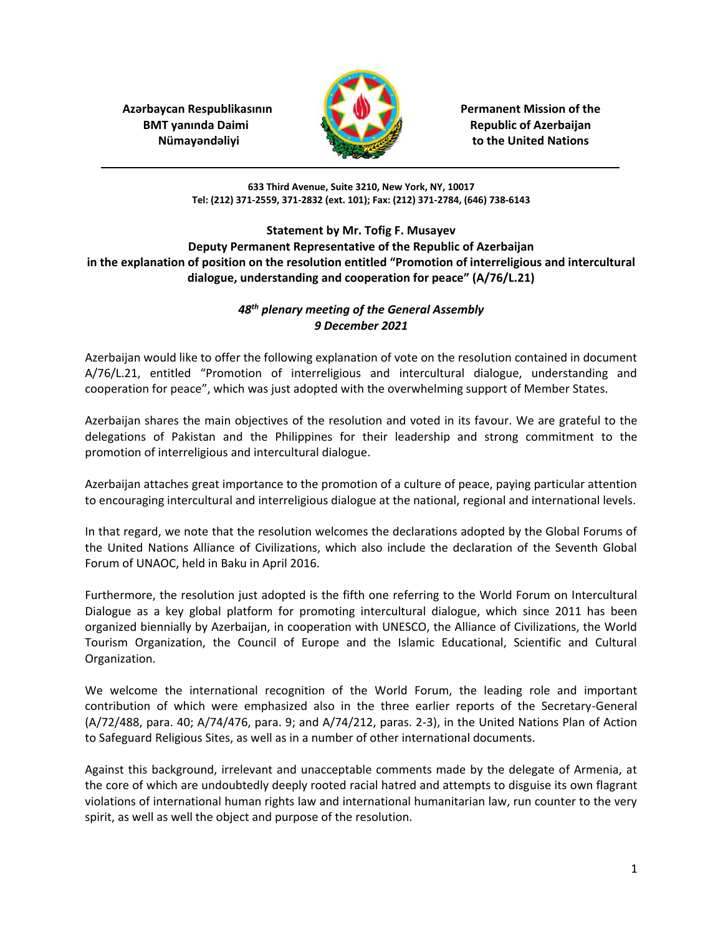**Azərbaycan Respublikasının Azərbaycan Respublikasının Azərbaycan Respublikasının BMT yanında Daimi Republic of Azerbaijan** 



*Nümay* and **a**lignations *n n n n n n n n n n n n n n n n n n n n n n n n n n n n n n n n*

**633 Third Avenue, Suite 3210, New York, NY, 10017 Tel: (212) 371-2559, 371-2832 (ext. 101); Fax: (212) 371-2784, (646) 738-6143**

**Statement by Mr. Tofig F. Musayev Deputy Permanent Representative of the Republic of Azerbaijan in the explanation of position on the resolution entitled "Promotion of interreligious and intercultural dialogue, understanding and cooperation for peace" (A/76/L.21)**

## *48th plenary meeting of the General Assembly 9 December 2021*

Azerbaijan would like to offer the following explanation of vote on the resolution contained in document A/76/L.21, entitled "Promotion of interreligious and intercultural dialogue, understanding and cooperation for peace", which was just adopted with the overwhelming support of Member States.

Azerbaijan shares the main objectives of the resolution and voted in its favour. We are grateful to the delegations of Pakistan and the Philippines for their leadership and strong commitment to the promotion of interreligious and intercultural dialogue.

Azerbaijan attaches great importance to the promotion of a culture of peace, paying particular attention to encouraging intercultural and interreligious dialogue at the national, regional and international levels.

In that regard, we note that the resolution welcomes the declarations adopted by the Global Forums of the United Nations Alliance of Civilizations, which also include the declaration of the Seventh Global Forum of UNAOC, held in Baku in April 2016.

Furthermore, the resolution just adopted is the fifth one referring to the World Forum on Intercultural Dialogue as a key global platform for promoting intercultural dialogue, which since 2011 has been organized biennially by Azerbaijan, in cooperation with UNESCO, the Alliance of Civilizations, the World Tourism Organization, the Council of Europe and the Islamic Educational, Scientific and Cultural Organization.

We welcome the international recognition of the World Forum, the leading role and important contribution of which were emphasized also in the three earlier reports of the Secretary-General (A/72/488, para. 40; A/74/476, para. 9; and A/74/212, paras. 2-3), in the United Nations Plan of Action to Safeguard Religious Sites, as well as in a number of other international documents.

Against this background, irrelevant and unacceptable comments made by the delegate of Armenia, at the core of which are undoubtedly deeply rooted racial hatred and attempts to disguise its own flagrant violations of international human rights law and international humanitarian law, run counter to the very spirit, as well as well the object and purpose of the resolution.